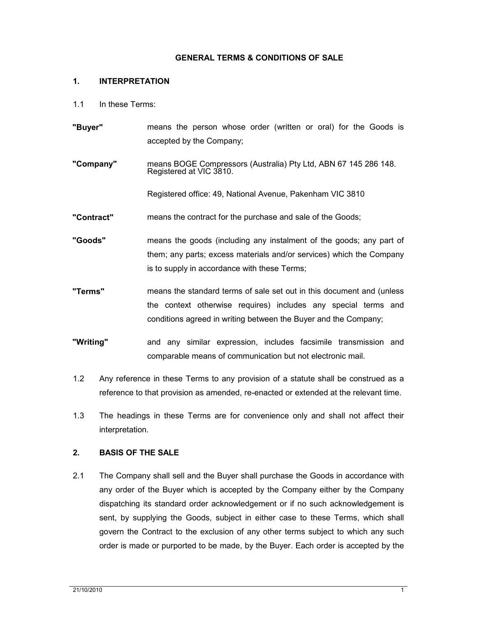### **GENERAL TERMS & CONDITIONS OF SALE**

#### **1. INTERPRETATION**

- 1.1 In these Terms:
- **"Buyer"** means the person whose order (written or oral) for the Goods is accepted by the Company;
- **"Company"** means BOGE Compressors (Australia) Pty Ltd, ABN 67 145 286 148. Registered at VIC 3810.

Registered office: 49, National Avenue, Pakenham VIC 3810

- **"Contract"** means the contract for the purchase and sale of the Goods;
- **"Goods"** means the goods (including any instalment of the goods; any part of them; any parts; excess materials and/or services) which the Company is to supply in accordance with these Terms;
- **"Terms"** means the standard terms of sale set out in this document and (unless the context otherwise requires) includes any special terms and conditions agreed in writing between the Buyer and the Company;
- **"Writing"** and any similar expression, includes facsimile transmission and comparable means of communication but not electronic mail.
- 1.2 Any reference in these Terms to any provision of a statute shall be construed as a reference to that provision as amended, re-enacted or extended at the relevant time.
- 1.3 The headings in these Terms are for convenience only and shall not affect their interpretation.

## **2. BASIS OF THE SALE**

2.1 The Company shall sell and the Buyer shall purchase the Goods in accordance with any order of the Buyer which is accepted by the Company either by the Company dispatching its standard order acknowledgement or if no such acknowledgement is sent, by supplying the Goods, subject in either case to these Terms, which shall govern the Contract to the exclusion of any other terms subject to which any such order is made or purported to be made, by the Buyer. Each order is accepted by the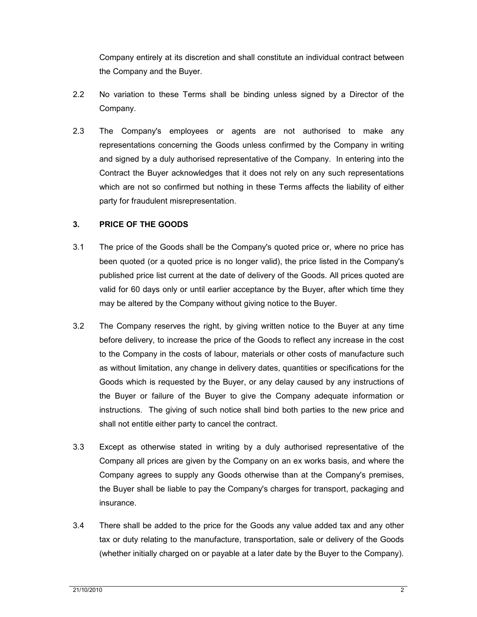Company entirely at its discretion and shall constitute an individual contract between the Company and the Buyer.

- 2.2 No variation to these Terms shall be binding unless signed by a Director of the Company.
- 2.3 The Company's employees or agents are not authorised to make any representations concerning the Goods unless confirmed by the Company in writing and signed by a duly authorised representative of the Company. In entering into the Contract the Buyer acknowledges that it does not rely on any such representations which are not so confirmed but nothing in these Terms affects the liability of either party for fraudulent misrepresentation.

## **3. PRICE OF THE GOODS**

- 3.1 The price of the Goods shall be the Company's quoted price or, where no price has been quoted (or a quoted price is no longer valid), the price listed in the Company's published price list current at the date of delivery of the Goods. All prices quoted are valid for 60 days only or until earlier acceptance by the Buyer, after which time they may be altered by the Company without giving notice to the Buyer.
- 3.2 The Company reserves the right, by giving written notice to the Buyer at any time before delivery, to increase the price of the Goods to reflect any increase in the cost to the Company in the costs of labour, materials or other costs of manufacture such as without limitation, any change in delivery dates, quantities or specifications for the Goods which is requested by the Buyer, or any delay caused by any instructions of the Buyer or failure of the Buyer to give the Company adequate information or instructions. The giving of such notice shall bind both parties to the new price and shall not entitle either party to cancel the contract.
- 3.3 Except as otherwise stated in writing by a duly authorised representative of the Company all prices are given by the Company on an ex works basis, and where the Company agrees to supply any Goods otherwise than at the Company's premises, the Buyer shall be liable to pay the Company's charges for transport, packaging and insurance.
- 3.4 There shall be added to the price for the Goods any value added tax and any other tax or duty relating to the manufacture, transportation, sale or delivery of the Goods (whether initially charged on or payable at a later date by the Buyer to the Company).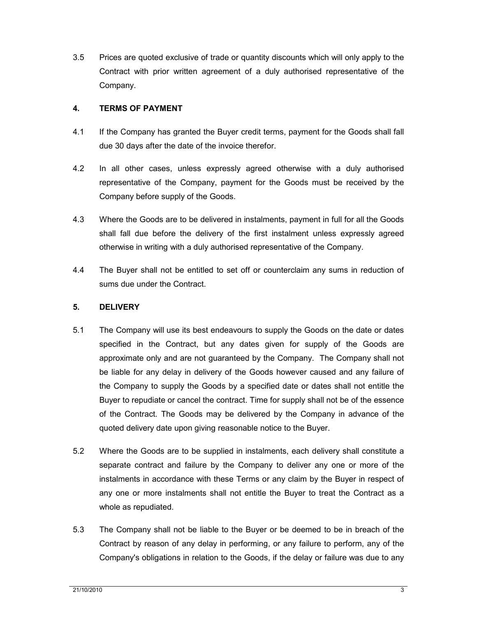3.5 Prices are quoted exclusive of trade or quantity discounts which will only apply to the Contract with prior written agreement of a duly authorised representative of the Company.

## **4. TERMS OF PAYMENT**

- 4.1 If the Company has granted the Buyer credit terms, payment for the Goods shall fall due 30 days after the date of the invoice therefor.
- 4.2 In all other cases, unless expressly agreed otherwise with a duly authorised representative of the Company, payment for the Goods must be received by the Company before supply of the Goods.
- 4.3 Where the Goods are to be delivered in instalments, payment in full for all the Goods shall fall due before the delivery of the first instalment unless expressly agreed otherwise in writing with a duly authorised representative of the Company.
- 4.4 The Buyer shall not be entitled to set off or counterclaim any sums in reduction of sums due under the Contract.

# **5. DELIVERY**

- 5.1 The Company will use its best endeavours to supply the Goods on the date or dates specified in the Contract, but any dates given for supply of the Goods are approximate only and are not guaranteed by the Company. The Company shall not be liable for any delay in delivery of the Goods however caused and any failure of the Company to supply the Goods by a specified date or dates shall not entitle the Buyer to repudiate or cancel the contract. Time for supply shall not be of the essence of the Contract. The Goods may be delivered by the Company in advance of the quoted delivery date upon giving reasonable notice to the Buyer.
- 5.2 Where the Goods are to be supplied in instalments, each delivery shall constitute a separate contract and failure by the Company to deliver any one or more of the instalments in accordance with these Terms or any claim by the Buyer in respect of any one or more instalments shall not entitle the Buyer to treat the Contract as a whole as repudiated.
- 5.3 The Company shall not be liable to the Buyer or be deemed to be in breach of the Contract by reason of any delay in performing, or any failure to perform, any of the Company's obligations in relation to the Goods, if the delay or failure was due to any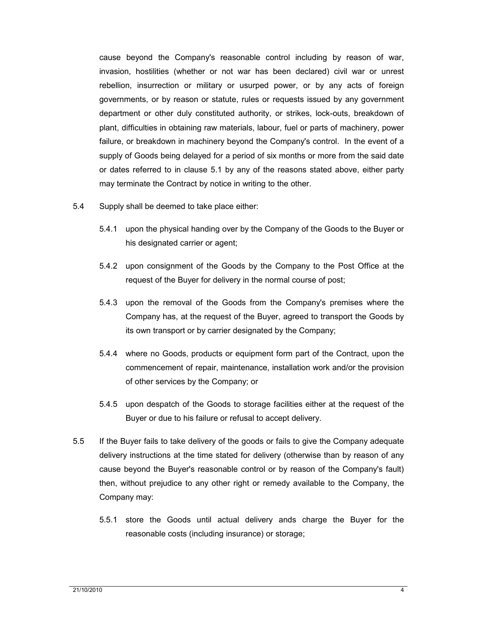cause beyond the Company's reasonable control including by reason of war, invasion, hostilities (whether or not war has been declared) civil war or unrest rebellion, insurrection or military or usurped power, or by any acts of foreign governments, or by reason or statute, rules or requests issued by any government department or other duly constituted authority, or strikes, lock-outs, breakdown of plant, difficulties in obtaining raw materials, labour, fuel or parts of machinery, power failure, or breakdown in machinery beyond the Company's control. In the event of a supply of Goods being delayed for a period of six months or more from the said date or dates referred to in clause 5.1 by any of the reasons stated above, either party may terminate the Contract by notice in writing to the other.

- 5.4 Supply shall be deemed to take place either:
	- 5.4.1 upon the physical handing over by the Company of the Goods to the Buyer or his designated carrier or agent;
	- 5.4.2 upon consignment of the Goods by the Company to the Post Office at the request of the Buyer for delivery in the normal course of post;
	- 5.4.3 upon the removal of the Goods from the Company's premises where the Company has, at the request of the Buyer, agreed to transport the Goods by its own transport or by carrier designated by the Company;
	- 5.4.4 where no Goods, products or equipment form part of the Contract, upon the commencement of repair, maintenance, installation work and/or the provision of other services by the Company; or
	- 5.4.5 upon despatch of the Goods to storage facilities either at the request of the Buyer or due to his failure or refusal to accept delivery.
- 5.5 If the Buyer fails to take delivery of the goods or fails to give the Company adequate delivery instructions at the time stated for delivery (otherwise than by reason of any cause beyond the Buyer's reasonable control or by reason of the Company's fault) then, without prejudice to any other right or remedy available to the Company, the Company may:
	- 5.5.1 store the Goods until actual delivery ands charge the Buyer for the reasonable costs (including insurance) or storage;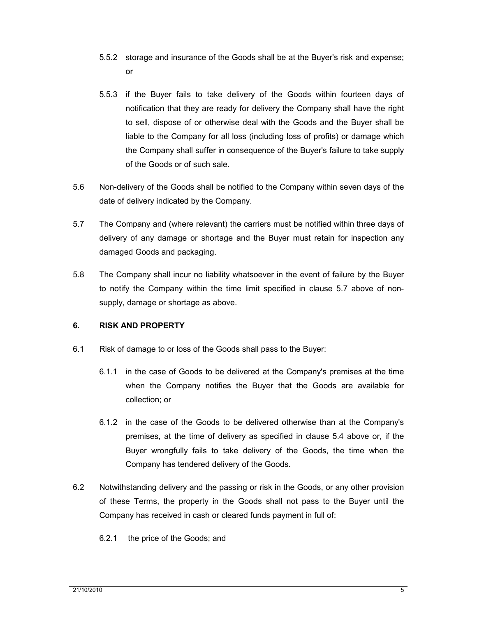- 5.5.2 storage and insurance of the Goods shall be at the Buyer's risk and expense; or
- 5.5.3 if the Buyer fails to take delivery of the Goods within fourteen days of notification that they are ready for delivery the Company shall have the right to sell, dispose of or otherwise deal with the Goods and the Buyer shall be liable to the Company for all loss (including loss of profits) or damage which the Company shall suffer in consequence of the Buyer's failure to take supply of the Goods or of such sale.
- 5.6 Non-delivery of the Goods shall be notified to the Company within seven days of the date of delivery indicated by the Company.
- 5.7 The Company and (where relevant) the carriers must be notified within three days of delivery of any damage or shortage and the Buyer must retain for inspection any damaged Goods and packaging.
- 5.8 The Company shall incur no liability whatsoever in the event of failure by the Buyer to notify the Company within the time limit specified in clause 5.7 above of nonsupply, damage or shortage as above.

## **6. RISK AND PROPERTY**

- 6.1 Risk of damage to or loss of the Goods shall pass to the Buyer:
	- 6.1.1 in the case of Goods to be delivered at the Company's premises at the time when the Company notifies the Buyer that the Goods are available for collection; or
	- 6.1.2 in the case of the Goods to be delivered otherwise than at the Company's premises, at the time of delivery as specified in clause 5.4 above or, if the Buyer wrongfully fails to take delivery of the Goods, the time when the Company has tendered delivery of the Goods.
- 6.2 Notwithstanding delivery and the passing or risk in the Goods, or any other provision of these Terms, the property in the Goods shall not pass to the Buyer until the Company has received in cash or cleared funds payment in full of:
	- 6.2.1 the price of the Goods; and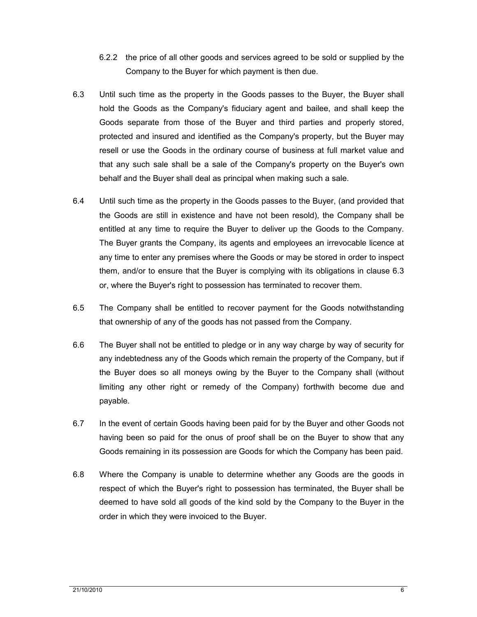- 6.2.2 the price of all other goods and services agreed to be sold or supplied by the Company to the Buyer for which payment is then due.
- 6.3 Until such time as the property in the Goods passes to the Buyer, the Buyer shall hold the Goods as the Company's fiduciary agent and bailee, and shall keep the Goods separate from those of the Buyer and third parties and properly stored, protected and insured and identified as the Company's property, but the Buyer may resell or use the Goods in the ordinary course of business at full market value and that any such sale shall be a sale of the Company's property on the Buyer's own behalf and the Buyer shall deal as principal when making such a sale.
- 6.4 Until such time as the property in the Goods passes to the Buyer, (and provided that the Goods are still in existence and have not been resold), the Company shall be entitled at any time to require the Buyer to deliver up the Goods to the Company. The Buyer grants the Company, its agents and employees an irrevocable licence at any time to enter any premises where the Goods or may be stored in order to inspect them, and/or to ensure that the Buyer is complying with its obligations in clause 6.3 or, where the Buyer's right to possession has terminated to recover them.
- 6.5 The Company shall be entitled to recover payment for the Goods notwithstanding that ownership of any of the goods has not passed from the Company.
- 6.6 The Buyer shall not be entitled to pledge or in any way charge by way of security for any indebtedness any of the Goods which remain the property of the Company, but if the Buyer does so all moneys owing by the Buyer to the Company shall (without limiting any other right or remedy of the Company) forthwith become due and payable.
- 6.7 In the event of certain Goods having been paid for by the Buyer and other Goods not having been so paid for the onus of proof shall be on the Buyer to show that any Goods remaining in its possession are Goods for which the Company has been paid.
- 6.8 Where the Company is unable to determine whether any Goods are the goods in respect of which the Buyer's right to possession has terminated, the Buyer shall be deemed to have sold all goods of the kind sold by the Company to the Buyer in the order in which they were invoiced to the Buyer.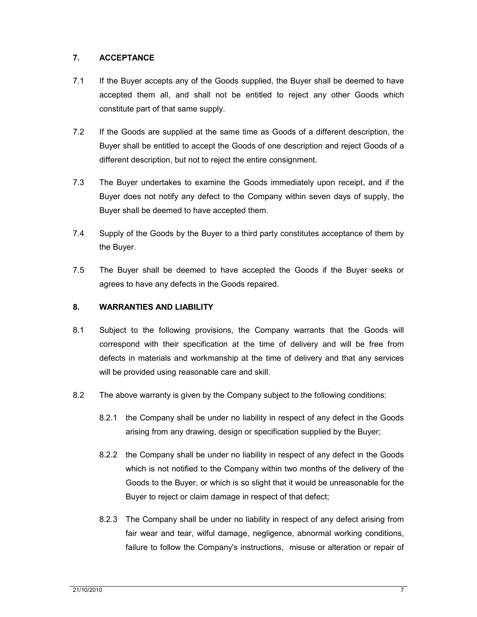## **7. ACCEPTANCE**

- 7.1 If the Buyer accepts any of the Goods supplied, the Buyer shall be deemed to have accepted them all, and shall not be entitled to reject any other Goods which constitute part of that same supply.
- 7.2 If the Goods are supplied at the same time as Goods of a different description, the Buyer shall be entitled to accept the Goods of one description and reject Goods of a different description, but not to reject the entire consignment.
- 7.3 The Buyer undertakes to examine the Goods immediately upon receipt, and if the Buyer does not notify any defect to the Company within seven days of supply, the Buyer shall be deemed to have accepted them.
- 7.4 Supply of the Goods by the Buyer to a third party constitutes acceptance of them by the Buyer.
- 7.5 The Buyer shall be deemed to have accepted the Goods if the Buyer seeks or agrees to have any defects in the Goods repaired.

## **8. WARRANTIES AND LIABILITY**

- 8.1 Subject to the following provisions, the Company warrants that the Goods will correspond with their specification at the time of delivery and will be free from defects in materials and workmanship at the time of delivery and that any services will be provided using reasonable care and skill.
- 8.2 The above warranty is given by the Company subject to the following conditions:
	- 8.2.1 the Company shall be under no liability in respect of any defect in the Goods arising from any drawing, design or specification supplied by the Buyer;
	- 8.2.2 the Company shall be under no liability in respect of any defect in the Goods which is not notified to the Company within two months of the delivery of the Goods to the Buyer, or which is so slight that it would be unreasonable for the Buyer to reject or claim damage in respect of that defect;
	- 8.2.3 The Company shall be under no liability in respect of any defect arising from fair wear and tear, wilful damage, negligence, abnormal working conditions, failure to follow the Company's instructions, misuse or alteration or repair of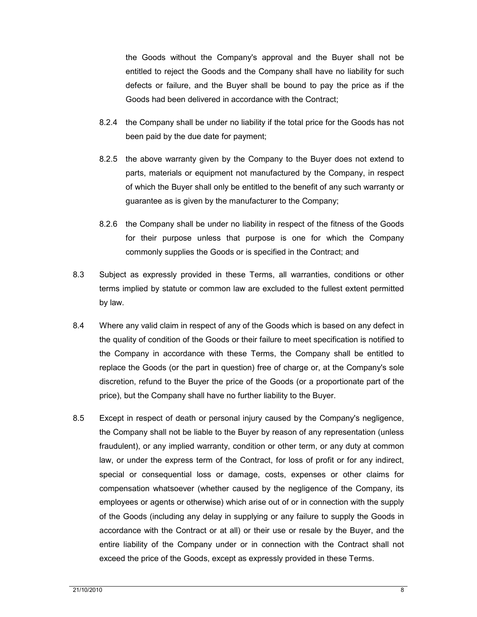the Goods without the Company's approval and the Buyer shall not be entitled to reject the Goods and the Company shall have no liability for such defects or failure, and the Buyer shall be bound to pay the price as if the Goods had been delivered in accordance with the Contract;

- 8.2.4 the Company shall be under no liability if the total price for the Goods has not been paid by the due date for payment;
- 8.2.5 the above warranty given by the Company to the Buyer does not extend to parts, materials or equipment not manufactured by the Company, in respect of which the Buyer shall only be entitled to the benefit of any such warranty or guarantee as is given by the manufacturer to the Company;
- 8.2.6 the Company shall be under no liability in respect of the fitness of the Goods for their purpose unless that purpose is one for which the Company commonly supplies the Goods or is specified in the Contract; and
- 8.3 Subject as expressly provided in these Terms, all warranties, conditions or other terms implied by statute or common law are excluded to the fullest extent permitted by law.
- 8.4 Where any valid claim in respect of any of the Goods which is based on any defect in the quality of condition of the Goods or their failure to meet specification is notified to the Company in accordance with these Terms, the Company shall be entitled to replace the Goods (or the part in question) free of charge or, at the Company's sole discretion, refund to the Buyer the price of the Goods (or a proportionate part of the price), but the Company shall have no further liability to the Buyer.
- 8.5 Except in respect of death or personal injury caused by the Company's negligence, the Company shall not be liable to the Buyer by reason of any representation (unless fraudulent), or any implied warranty, condition or other term, or any duty at common law, or under the express term of the Contract, for loss of profit or for any indirect, special or consequential loss or damage, costs, expenses or other claims for compensation whatsoever (whether caused by the negligence of the Company, its employees or agents or otherwise) which arise out of or in connection with the supply of the Goods (including any delay in supplying or any failure to supply the Goods in accordance with the Contract or at all) or their use or resale by the Buyer, and the entire liability of the Company under or in connection with the Contract shall not exceed the price of the Goods, except as expressly provided in these Terms.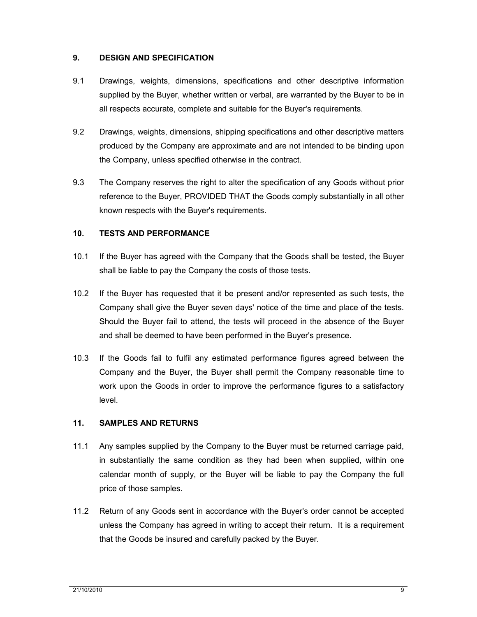### **9. DESIGN AND SPECIFICATION**

- 9.1 Drawings, weights, dimensions, specifications and other descriptive information supplied by the Buyer, whether written or verbal, are warranted by the Buyer to be in all respects accurate, complete and suitable for the Buyer's requirements.
- 9.2 Drawings, weights, dimensions, shipping specifications and other descriptive matters produced by the Company are approximate and are not intended to be binding upon the Company, unless specified otherwise in the contract.
- 9.3 The Company reserves the right to alter the specification of any Goods without prior reference to the Buyer, PROVIDED THAT the Goods comply substantially in all other known respects with the Buyer's requirements.

### **10. TESTS AND PERFORMANCE**

- 10.1 If the Buyer has agreed with the Company that the Goods shall be tested, the Buyer shall be liable to pay the Company the costs of those tests.
- 10.2 If the Buyer has requested that it be present and/or represented as such tests, the Company shall give the Buyer seven days' notice of the time and place of the tests. Should the Buyer fail to attend, the tests will proceed in the absence of the Buyer and shall be deemed to have been performed in the Buyer's presence.
- 10.3 If the Goods fail to fulfil any estimated performance figures agreed between the Company and the Buyer, the Buyer shall permit the Company reasonable time to work upon the Goods in order to improve the performance figures to a satisfactory level.

#### **11. SAMPLES AND RETURNS**

- 11.1 Any samples supplied by the Company to the Buyer must be returned carriage paid, in substantially the same condition as they had been when supplied, within one calendar month of supply, or the Buyer will be liable to pay the Company the full price of those samples.
- 11.2 Return of any Goods sent in accordance with the Buyer's order cannot be accepted unless the Company has agreed in writing to accept their return. It is a requirement that the Goods be insured and carefully packed by the Buyer.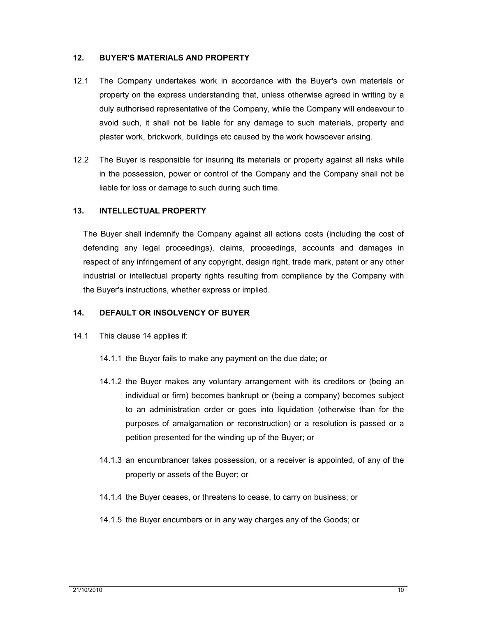### **12. BUYER'S MATERIALS AND PROPERTY**

- 12.1 The Company undertakes work in accordance with the Buyer's own materials or property on the express understanding that, unless otherwise agreed in writing by a duly authorised representative of the Company, while the Company will endeavour to avoid such, it shall not be liable for any damage to such materials, property and plaster work, brickwork, buildings etc caused by the work howsoever arising.
- 12.2 The Buyer is responsible for insuring its materials or property against all risks while in the possession, power or control of the Company and the Company shall not be liable for loss or damage to such during such time.

### **13. INTELLECTUAL PROPERTY**

The Buyer shall indemnify the Company against all actions costs (including the cost of defending any legal proceedings), claims, proceedings, accounts and damages in respect of any infringement of any copyright, design right, trade mark, patent or any other industrial or intellectual property rights resulting from compliance by the Company with the Buyer's instructions, whether express or implied.

## **14. DEFAULT OR INSOLVENCY OF BUYER**

- 14.1 This clause 14 applies if:
	- 14.1.1 the Buyer fails to make any payment on the due date; or
	- 14.1.2 the Buyer makes any voluntary arrangement with its creditors or (being an individual or firm) becomes bankrupt or (being a company) becomes subject to an administration order or goes into liquidation (otherwise than for the purposes of amalgamation or reconstruction) or a resolution is passed or a petition presented for the winding up of the Buyer; or
	- 14.1.3 an encumbrancer takes possession, or a receiver is appointed, of any of the property or assets of the Buyer; or
	- 14.1.4 the Buyer ceases, or threatens to cease, to carry on business; or
	- 14.1.5 the Buyer encumbers or in any way charges any of the Goods; or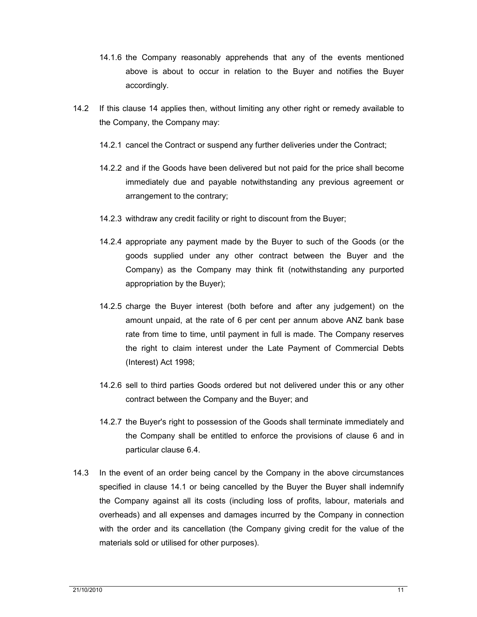- 14.1.6 the Company reasonably apprehends that any of the events mentioned above is about to occur in relation to the Buyer and notifies the Buyer accordingly.
- 14.2 If this clause 14 applies then, without limiting any other right or remedy available to the Company, the Company may:
	- 14.2.1 cancel the Contract or suspend any further deliveries under the Contract;
	- 14.2.2 and if the Goods have been delivered but not paid for the price shall become immediately due and payable notwithstanding any previous agreement or arrangement to the contrary;
	- 14.2.3 withdraw any credit facility or right to discount from the Buyer;
	- 14.2.4 appropriate any payment made by the Buyer to such of the Goods (or the goods supplied under any other contract between the Buyer and the Company) as the Company may think fit (notwithstanding any purported appropriation by the Buyer);
	- 14.2.5 charge the Buyer interest (both before and after any judgement) on the amount unpaid, at the rate of 6 per cent per annum above ANZ bank base rate from time to time, until payment in full is made. The Company reserves the right to claim interest under the Late Payment of Commercial Debts (Interest) Act 1998;
	- 14.2.6 sell to third parties Goods ordered but not delivered under this or any other contract between the Company and the Buyer; and
	- 14.2.7 the Buyer's right to possession of the Goods shall terminate immediately and the Company shall be entitled to enforce the provisions of clause 6 and in particular clause 6.4.
- 14.3 In the event of an order being cancel by the Company in the above circumstances specified in clause 14.1 or being cancelled by the Buyer the Buyer shall indemnify the Company against all its costs (including loss of profits, labour, materials and overheads) and all expenses and damages incurred by the Company in connection with the order and its cancellation (the Company giving credit for the value of the materials sold or utilised for other purposes).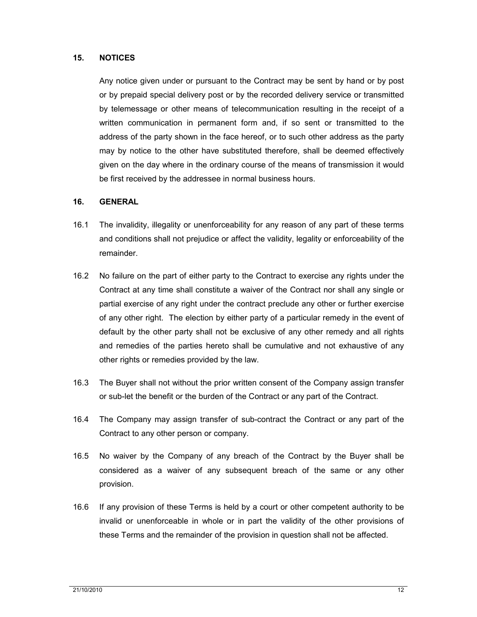### **15. NOTICES**

Any notice given under or pursuant to the Contract may be sent by hand or by post or by prepaid special delivery post or by the recorded delivery service or transmitted by telemessage or other means of telecommunication resulting in the receipt of a written communication in permanent form and, if so sent or transmitted to the address of the party shown in the face hereof, or to such other address as the party may by notice to the other have substituted therefore, shall be deemed effectively given on the day where in the ordinary course of the means of transmission it would be first received by the addressee in normal business hours.

#### **16. GENERAL**

- 16.1 The invalidity, illegality or unenforceability for any reason of any part of these terms and conditions shall not prejudice or affect the validity, legality or enforceability of the remainder.
- 16.2 No failure on the part of either party to the Contract to exercise any rights under the Contract at any time shall constitute a waiver of the Contract nor shall any single or partial exercise of any right under the contract preclude any other or further exercise of any other right. The election by either party of a particular remedy in the event of default by the other party shall not be exclusive of any other remedy and all rights and remedies of the parties hereto shall be cumulative and not exhaustive of any other rights or remedies provided by the law.
- 16.3 The Buyer shall not without the prior written consent of the Company assign transfer or sub-let the benefit or the burden of the Contract or any part of the Contract.
- 16.4 The Company may assign transfer of sub-contract the Contract or any part of the Contract to any other person or company.
- 16.5 No waiver by the Company of any breach of the Contract by the Buyer shall be considered as a waiver of any subsequent breach of the same or any other provision.
- 16.6 If any provision of these Terms is held by a court or other competent authority to be invalid or unenforceable in whole or in part the validity of the other provisions of these Terms and the remainder of the provision in question shall not be affected.